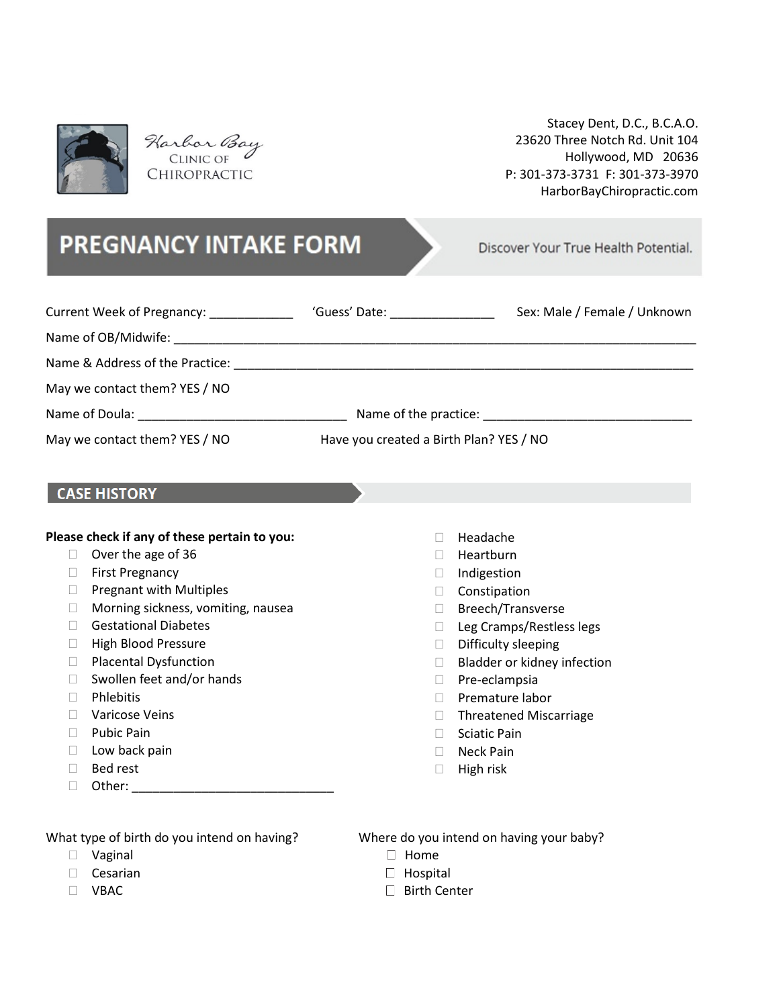

Harbor Bay **CLINIC OF** CHIROPRACTIC

Stacey Dent, D.C., B.C.A.O. 23620 Three Notch Rd. Unit 104 Hollywood, MD 20636 P: 301-373-3731 F: 301-373-3970 HarborBayChiropractic.com

Discover Your True Health Potential.

# **PREGNANCY INTAKE FORM**

| Current Week of Pregnancy:              | 'Guess' Date: The Source of the Source of the Source of the Source of the Source of the Source of the Source o | Sex: Male / Female / Unknown |
|-----------------------------------------|----------------------------------------------------------------------------------------------------------------|------------------------------|
|                                         |                                                                                                                |                              |
| Name & Address of the Practice:         |                                                                                                                |                              |
| May we contact them? YES / NO           |                                                                                                                |                              |
| Name of Doula: ________________________ |                                                                                                                |                              |
| May we contact them? YES / NO           | Have you created a Birth Plan? YES / NO                                                                        |                              |
|                                         |                                                                                                                |                              |

## **CASE HISTORY**

#### **Please check if any of these pertain to you:**

- $\Box$  Over the age of 36
- **First Pregnancy**
- $\Box$  Pregnant with Multiples
- **I** Morning sickness, vomiting, nausea
- Gestational Diabetes
- **High Blood Pressure**
- D Placental Dysfunction
- □ Swollen feet and/or hands
- D Phlebitis
- □ Varicose Veins
- D Pubic Pain
- $\Box$  Low back pain
- □ Bed rest
- Other: \_\_\_\_\_\_\_\_\_\_\_\_\_\_\_\_\_\_\_\_\_\_\_\_\_\_\_\_\_
- $\Box$  Headache
- Heartburn
- Indigestion
- Constipation
- □ Breech/Transverse
- □ Leg Cramps/Restless legs
- $\Box$  Difficulty sleeping
- □ Bladder or kidney infection
- D Pre-eclampsia
- □ Premature labor
- □ Threatened Miscarriage
- $\Box$  Sciatic Pain
- D Neck Pain
- $\Box$  High risk

What type of birth do you intend on having? Where do you intend on having your baby?

- $\Box$  Vaginal  $\Box$  Home
- $\Box$  Cesarian  $\Box$  Hospital
- 

- 
- 
- $\Box$  VBAC Birth Center